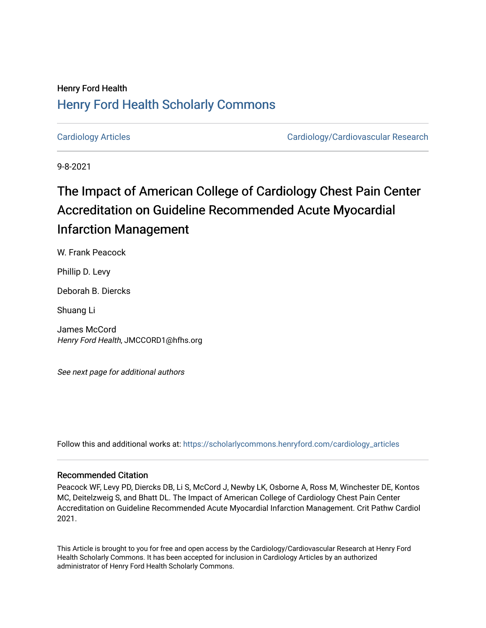# Henry Ford Health [Henry Ford Health Scholarly Commons](https://scholarlycommons.henryford.com/)

[Cardiology Articles](https://scholarlycommons.henryford.com/cardiology_articles) [Cardiology/Cardiovascular Research](https://scholarlycommons.henryford.com/cardiology) 

9-8-2021

# The Impact of American College of Cardiology Chest Pain Center Accreditation on Guideline Recommended Acute Myocardial Infarction Management

W. Frank Peacock

Phillip D. Levy

Deborah B. Diercks

Shuang Li

James McCord Henry Ford Health, JMCCORD1@hfhs.org

See next page for additional authors

Follow this and additional works at: [https://scholarlycommons.henryford.com/cardiology\\_articles](https://scholarlycommons.henryford.com/cardiology_articles?utm_source=scholarlycommons.henryford.com%2Fcardiology_articles%2F816&utm_medium=PDF&utm_campaign=PDFCoverPages)

#### Recommended Citation

Peacock WF, Levy PD, Diercks DB, Li S, McCord J, Newby LK, Osborne A, Ross M, Winchester DE, Kontos MC, Deitelzweig S, and Bhatt DL. The Impact of American College of Cardiology Chest Pain Center Accreditation on Guideline Recommended Acute Myocardial Infarction Management. Crit Pathw Cardiol 2021.

This Article is brought to you for free and open access by the Cardiology/Cardiovascular Research at Henry Ford Health Scholarly Commons. It has been accepted for inclusion in Cardiology Articles by an authorized administrator of Henry Ford Health Scholarly Commons.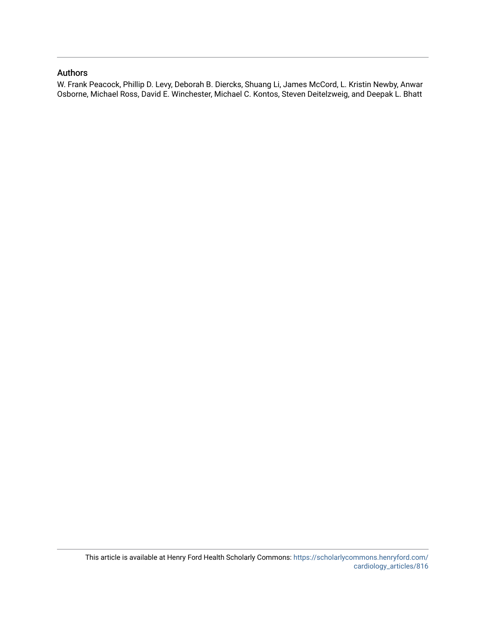#### Authors

W. Frank Peacock, Phillip D. Levy, Deborah B. Diercks, Shuang Li, James McCord, L. Kristin Newby, Anwar Osborne, Michael Ross, David E. Winchester, Michael C. Kontos, Steven Deitelzweig, and Deepak L. Bhatt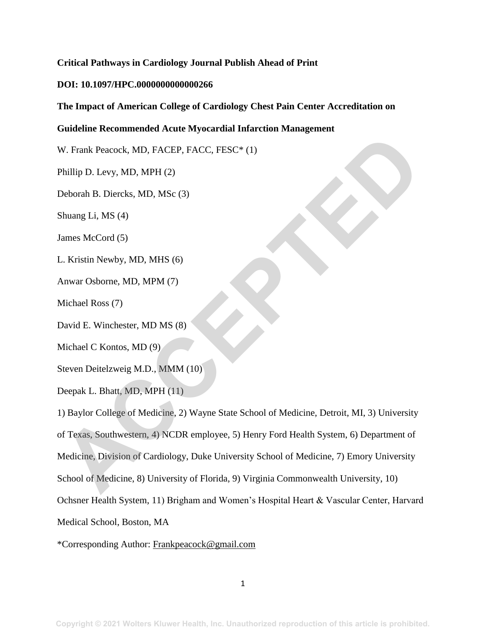#### **Critical Pathways in Cardiology Journal Publish Ahead of Print**

#### **DOI: 10.1097/HPC.0000000000000266**

#### **The Impact of American College of Cardiology Chest Pain Center Accreditation on**

#### **Guideline Recommended Acute Myocardial Infarction Management**

W. Frank Peacock, MD, FACEP, FACC, FESC\* (1)

Phillip D. Levy, MD, MPH (2)

Deborah B. Diercks, MD, MSc (3)

Shuang Li, MS (4)

James McCord (5)

L. Kristin Newby, MD, MHS (6)

Anwar Osborne, MD, MPM (7)

Michael Ross (7)

David E. Winchester, MD MS (8)

Michael C Kontos, MD (9)

Steven Deitelzweig M.D., MMM (10)

Deepak L. Bhatt, MD, MPH (11)

1) Baylor College of Medicine, 2) Wayne State School of Medicine, Detroit, MI, 3) University of Texas, Southwestern, 4) NCDR employee, 5) Henry Ford Health System, 6) Department of Medicine, Division of Cardiology, Duke University School of Medicine, 7) Emory University School of Medicine, 8) University of Florida, 9) Virginia Commonwealth University, 10) Ochsner Health System, 11) Brigham and Women's Hospital Heart & Vascular Center, Harvard Medical School, Boston, MA W. Frank Peacock, MD, FACEP, FACC, FESC\* (1)<br>Phillip D. Levy, MD, MPH (2)<br>Deborah B. Diercks, MD, MSc (3)<br>Shuang Li, MS (4)<br>Inmes McCord (5)<br>L. Kristin Newby, MD, MFM (7)<br>Michael Ross (7)<br>Michael C Kontos, MD (9)<br>Steven De

\*Corresponding Author: [Frankpeacock@gmail.com](mailto:Frankpeacock@gmail.com)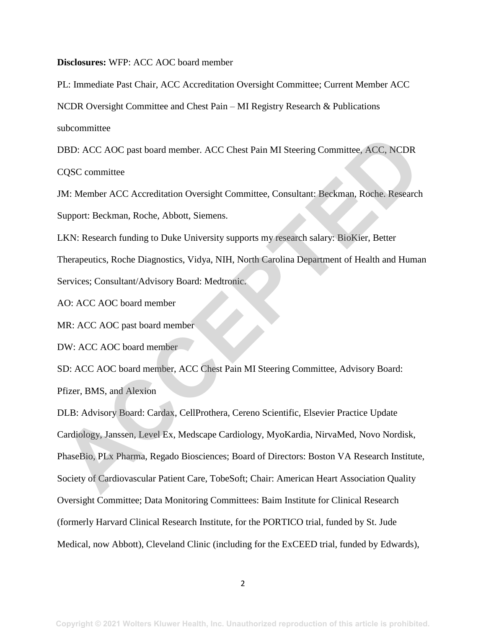**Disclosures:** WFP: ACC AOC board member

PL: Immediate Past Chair, ACC Accreditation Oversight Committee; Current Member ACC NCDR Oversight Committee and Chest Pain – MI Registry Research & Publications subcommittee

DBD: ACC AOC past board member. ACC Chest Pain MI Steering Committee, ACC, NCDR CQSC committee

JM: Member ACC Accreditation Oversight Committee, Consultant: Beckman, Roche. Research Support: Beckman, Roche, Abbott, Siemens.

LKN: Research funding to Duke University supports my research salary: BioKier, Better Therapeutics, Roche Diagnostics, Vidya, NIH, North Carolina Department of Health and Human Services; Consultant/Advisory Board: Medtronic.

AO: ACC AOC board member

MR: ACC AOC past board member

DW: ACC AOC board member

SD: ACC AOC board member, ACC Chest Pain MI Steering Committee, Advisory Board: Pfizer, BMS, and Alexion

DLB: Advisory Board: Cardax, CellProthera, Cereno Scientific, Elsevier Practice Update Cardiology, Janssen, Level Ex, Medscape Cardiology, MyoKardia, NirvaMed, Novo Nordisk, PhaseBio, PLx Pharma, Regado Biosciences; Board of Directors: Boston VA Research Institute, Society of Cardiovascular Patient Care, TobeSoft; Chair: American Heart Association Quality Oversight Committee; Data Monitoring Committees: Baim Institute for Clinical Research (formerly Harvard Clinical Research Institute, for the PORTICO trial, funded by St. Jude Medical, now Abbott), Cleveland Clinic (including for the ExCEED trial, funded by Edwards), DBD: ACC AOC past board member. ACC Chest Pain MI Steering Committee, ACC, NCDR<br>CQSC committee<br>M: Member ACC Accreditation Oversight Committee, Consultant: Beckman, Roche. Research<br>Support: Beckman, Roche, Abbott, Siemens.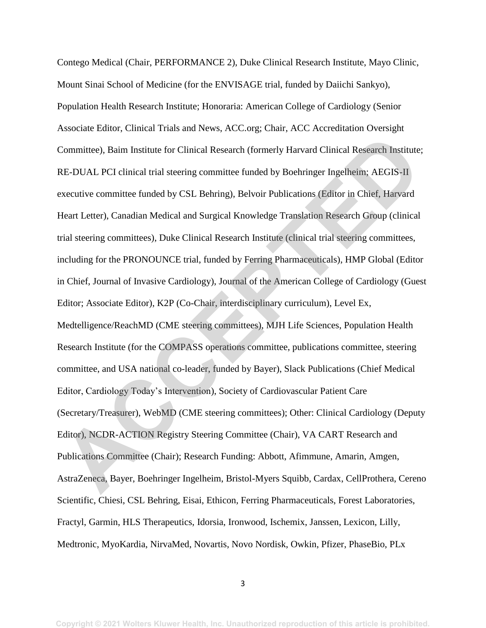Contego Medical (Chair, PERFORMANCE 2), Duke Clinical Research Institute, Mayo Clinic, Mount Sinai School of Medicine (for the ENVISAGE trial, funded by Daiichi Sankyo), Population Health Research Institute; Honoraria: American College of Cardiology (Senior Associate Editor, Clinical Trials and News, ACC.org; Chair, ACC Accreditation Oversight Committee), Baim Institute for Clinical Research (formerly Harvard Clinical Research Institute; RE-DUAL PCI clinical trial steering committee funded by Boehringer Ingelheim; AEGIS-II executive committee funded by CSL Behring), Belvoir Publications (Editor in Chief, Harvard Heart Letter), Canadian Medical and Surgical Knowledge Translation Research Group (clinical trial steering committees), Duke Clinical Research Institute (clinical trial steering committees, including for the PRONOUNCE trial, funded by Ferring Pharmaceuticals), HMP Global (Editor in Chief, Journal of Invasive Cardiology), Journal of the American College of Cardiology (Guest Editor; Associate Editor), K2P (Co-Chair, interdisciplinary curriculum), Level Ex, Medtelligence/ReachMD (CME steering committees), MJH Life Sciences, Population Health Research Institute (for the COMPASS operations committee, publications committee, steering committee, and USA national co-leader, funded by Bayer), Slack Publications (Chief Medical Editor, Cardiology Today's Intervention), Society of Cardiovascular Patient Care (Secretary/Treasurer), WebMD (CME steering committees); Other: Clinical Cardiology (Deputy Editor), NCDR-ACTION Registry Steering Committee (Chair), VA CART Research and Publications Committee (Chair); Research Funding: Abbott, Afimmune, Amarin, Amgen, AstraZeneca, Bayer, Boehringer Ingelheim, Bristol-Myers Squibb, Cardax, CellProthera, Cereno Scientific, Chiesi, CSL Behring, Eisai, Ethicon, Ferring Pharmaceuticals, Forest Laboratories, Fractyl, Garmin, HLS Therapeutics, Idorsia, Ironwood, Ischemix, Janssen, Lexicon, Lilly, Medtronic, MyoKardia, NirvaMed, Novartis, Novo Nordisk, Owkin, Pfizer, PhaseBio, PLx Committee). Baim Institute for Clinical Research (formerly Harvard Clinical Research Institute<br>RE-DUAL PCI clinical trial steering committee funded by Boehringer Ingelhelm; AEGIS-II<br>executive committee funded by CSI. Behri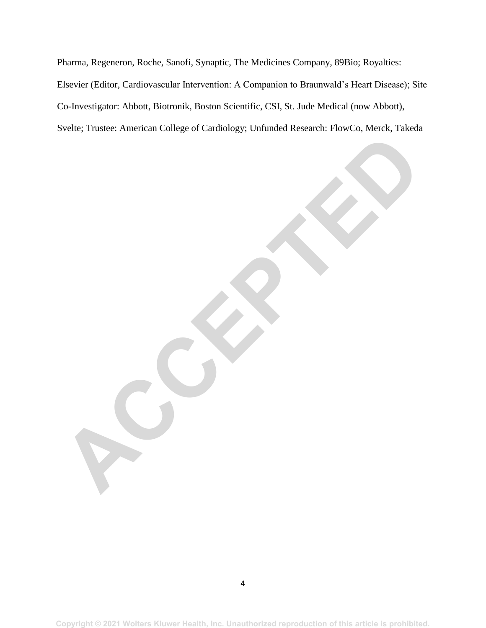Pharma, Regeneron, Roche, Sanofi, Synaptic, The Medicines Company, 89Bio; Royalties: Elsevier (Editor, Cardiovascular Intervention: A Companion to Braunwald's Heart Disease); Site Co-Investigator: Abbott, Biotronik, Boston Scientific, CSI, St. Jude Medical (now Abbott), Svelte; Trustee: American College of Cardiology; Unfunded Research: FlowCo, Merck, Takeda **ACCEPTED**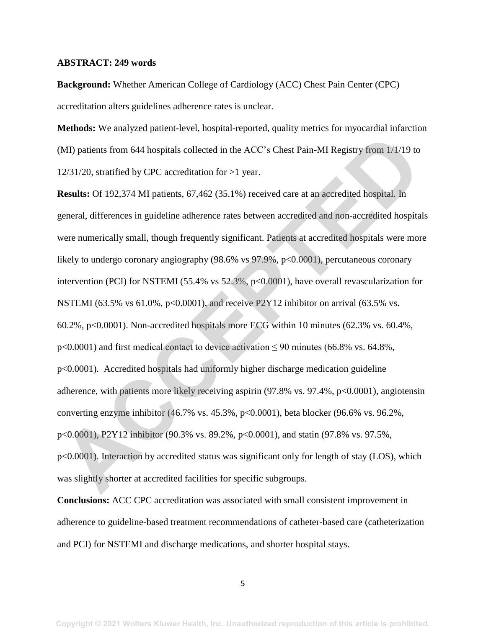#### **ABSTRACT: 249 words**

**Background:** Whether American College of Cardiology (ACC) Chest Pain Center (CPC) accreditation alters guidelines adherence rates is unclear.

**Methods:** We analyzed patient-level, hospital-reported, quality metrics for myocardial infarction (MI) patients from 644 hospitals collected in the ACC's Chest Pain-MI Registry from 1/1/19 to 12/31/20, stratified by CPC accreditation for >1 year.

**Results:** Of 192,374 MI patients, 67,462 (35.1%) received care at an accredited hospital. In general, differences in guideline adherence rates between accredited and non-accredited hospitals were numerically small, though frequently significant. Patients at accredited hospitals were more likely to undergo coronary angiography (98.6% vs 97.9%, p<0.0001), percutaneous coronary intervention (PCI) for NSTEMI (55.4% vs 52.3%, p<0.0001), have overall revascularization for NSTEMI (63.5% vs 61.0%, p<0.0001), and receive P2Y12 inhibitor on arrival (63.5% vs. 60.2%, p<0.0001). Non-accredited hospitals more ECG within 10 minutes (62.3% vs. 60.4%,  $p$ <0.0001) and first medical contact to device activation  $\leq$  90 minutes (66.8% vs. 64.8%, p<0.0001). Accredited hospitals had uniformly higher discharge medication guideline adherence, with patients more likely receiving aspirin (97.8% vs. 97.4%, p<0.0001), angiotensin converting enzyme inhibitor (46.7% vs. 45.3%, p<0.0001), beta blocker (96.6% vs. 96.2%, p<0.0001), P2Y12 inhibitor (90.3% vs. 89.2%, p<0.0001), and statin (97.8% vs. 97.5%, p<0.0001). Interaction by accredited status was significant only for length of stay (LOS), which was slightly shorter at accredited facilities for specific subgroups. (MI) patients from 644 hospitals collected in the ACC's Chest Pain-MI Registry from 1/4/19 to<br>12/31/20, stratified by CPC accreditation for >1 year.<br>**Results:** Of 192,374 MI patients, 67,462 (35.1%) received care at an ac

**Conclusions:** ACC CPC accreditation was associated with small consistent improvement in adherence to guideline-based treatment recommendations of catheter-based care (catheterization and PCI) for NSTEMI and discharge medications, and shorter hospital stays.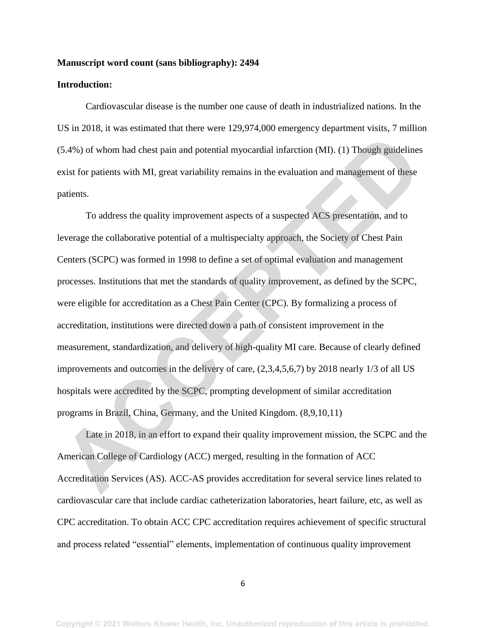#### **Manuscript word count (sans bibliography): 2494**

#### **Introduction:**

Cardiovascular disease is the number one cause of death in industrialized nations. In the US in 2018, it was estimated that there were 129,974,000 emergency department visits, 7 million (5.4%) of whom had chest pain and potential myocardial infarction (MI). (1) Though guidelines exist for patients with MI, great variability remains in the evaluation and management of these patients.

To address the quality improvement aspects of a suspected ACS presentation, and to leverage the collaborative potential of a multispecialty approach, the Society of Chest Pain Centers (SCPC) was formed in 1998 to define a set of optimal evaluation and management processes. Institutions that met the standards of quality improvement, as defined by the SCPC, were eligible for accreditation as a Chest Pain Center (CPC). By formalizing a process of accreditation, institutions were directed down a path of consistent improvement in the measurement, standardization, and delivery of high-quality MI care. Because of clearly defined improvements and outcomes in the delivery of care, (2,3,4,5,6,7) by 2018 nearly 1/3 of all US hospitals were accredited by the SCPC, prompting development of similar accreditation programs in Brazil, China, Germany, and the United Kingdom. (8,9,10,11) (5.4%) of whom had chest pain and potential myocardial infarction (MI). (1) Though guidelines<br>exist for patients with MI, great variability remains in the evaluation and management of these<br>patients.<br>To address the quality

Late in 2018, in an effort to expand their quality improvement mission, the SCPC and the American College of Cardiology (ACC) merged, resulting in the formation of ACC Accreditation Services (AS). ACC-AS provides accreditation for several service lines related to cardiovascular care that include cardiac catheterization laboratories, heart failure, etc, as well as CPC accreditation. To obtain ACC CPC accreditation requires achievement of specific structural and process related "essential" elements, implementation of continuous quality improvement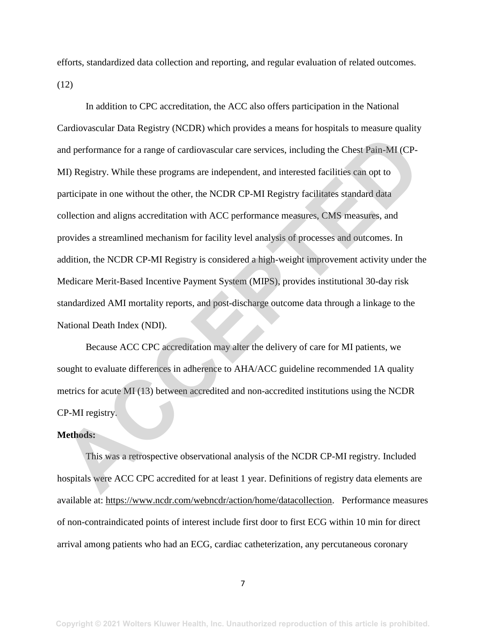efforts, standardized data collection and reporting, and regular evaluation of related outcomes. (12)

In addition to CPC accreditation, the ACC also offers participation in the National Cardiovascular Data Registry (NCDR) which provides a means for hospitals to measure quality and performance for a range of cardiovascular care services, including the Chest Pain-MI (CP-MI) Registry. While these programs are independent, and interested facilities can opt to participate in one without the other, the NCDR CP-MI Registry facilitates standard data collection and aligns accreditation with ACC performance measures, CMS measures, and provides a streamlined mechanism for facility level analysis of processes and outcomes. In addition, the NCDR CP-MI Registry is considered a high-weight improvement activity under the Medicare Merit-Based Incentive Payment System (MIPS), provides institutional 30-day risk standardized AMI mortality reports, and post-discharge outcome data through a linkage to the National Death Index (NDI). and performance for a range of cardiovascular care services, including the Chest Pain-MI (CP-<br>MI) Registry. While these programs are independent, and interested facilities can opt to<br>participate in one without the other, t

Because ACC CPC accreditation may alter the delivery of care for MI patients, we sought to evaluate differences in adherence to AHA/ACC guideline recommended 1A quality metrics for acute MI (13) between accredited and non-accredited institutions using the NCDR CP-MI registry.

#### **Methods:**

This was a retrospective observational analysis of the NCDR CP-MI registry. Included hospitals were ACC CPC accredited for at least 1 year. Definitions of registry data elements are available at: [https://www.ncdr.com/webncdr/action/home/datacollection.](https://urldefense.com/v3/__https:/www.ncdr.com/webncdr/action/home/datacollection__;!!JqxBPMk!3JoItX3W_0QSeojJNvZpwOXKhlS-oqPloio7D6hkfmelpt3gbr2XfMgkpnynfVoRSY0$) Performance measures of non-contraindicated points of interest include first door to first ECG within 10 min for direct arrival among patients who had an ECG, cardiac catheterization, any percutaneous coronary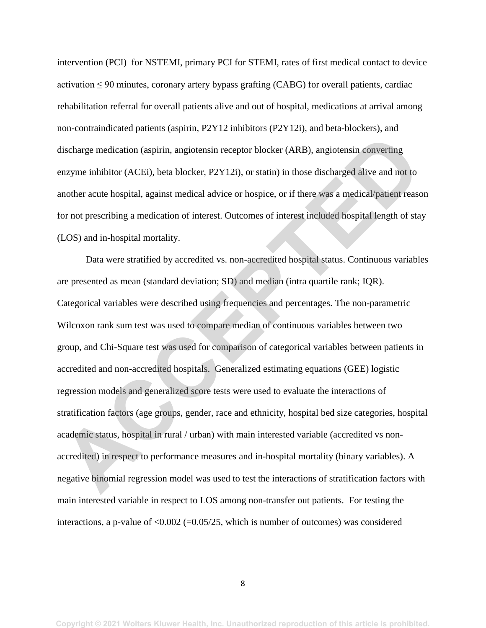intervention (PCI) for NSTEMI, primary PCI for STEMI, rates of first medical contact to device activation  $\leq 90$  minutes, coronary artery bypass grafting (CABG) for overall patients, cardiac rehabilitation referral for overall patients alive and out of hospital, medications at arrival among non-contraindicated patients (aspirin, P2Y12 inhibitors (P2Y12i), and beta-blockers), and discharge medication (aspirin, angiotensin receptor blocker (ARB), angiotensin converting enzyme inhibitor (ACEi), beta blocker, P2Y12i), or statin) in those discharged alive and not to another acute hospital, against medical advice or hospice, or if there was a medical/patient reason for not prescribing a medication of interest. Outcomes of interest included hospital length of stay (LOS) and in-hospital mortality.

Data were stratified by accredited vs. non-accredited hospital status. Continuous variables are presented as mean (standard deviation; SD) and median (intra quartile rank; IQR). Categorical variables were described using frequencies and percentages. The non-parametric Wilcoxon rank sum test was used to compare median of continuous variables between two group, and Chi-Square test was used for comparison of categorical variables between patients in accredited and non-accredited hospitals. Generalized estimating equations (GEE) logistic regression models and generalized score tests were used to evaluate the interactions of stratification factors (age groups, gender, race and ethnicity, hospital bed size categories, hospital academic status, hospital in rural / urban) with main interested variable (accredited vs nonaccredited) in respect to performance measures and in-hospital mortality (binary variables). A negative binomial regression model was used to test the interactions of stratification factors with main interested variable in respect to LOS among non-transfer out patients. For testing the interactions, a p-value of  $\leq 0.002$  (=0.05/25, which is number of outcomes) was considered discharge medication (aspirin, angiotensin receptor blocker (ARB), angiotensin converting<br>enzyme inhibitor (ACEi), beta blocker, P2Y12i), or statin) in those discharged alive and not to<br>unother acute hospital, against medi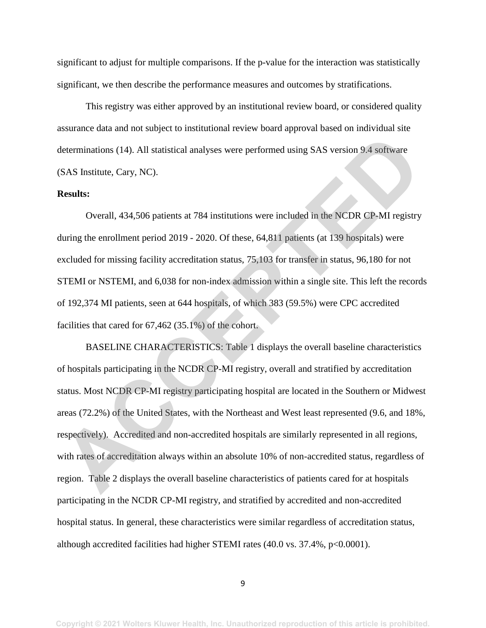significant to adjust for multiple comparisons. If the p-value for the interaction was statistically significant, we then describe the performance measures and outcomes by stratifications.

This registry was either approved by an institutional review board, or considered quality assurance data and not subject to institutional review board approval based on individual site determinations (14). All statistical analyses were performed using SAS version 9.4 software (SAS Institute, Cary, NC).

#### **Results:**

Overall, 434,506 patients at 784 institutions were included in the NCDR CP-MI registry during the enrollment period 2019 - 2020. Of these, 64,811 patients (at 139 hospitals) were excluded for missing facility accreditation status, 75,103 for transfer in status, 96,180 for not STEMI or NSTEMI, and 6,038 for non-index admission within a single site. This left the records of 192,374 MI patients, seen at 644 hospitals, of which 383 (59.5%) were CPC accredited facilities that cared for 67,462 (35.1%) of the cohort.

BASELINE CHARACTERISTICS: Table 1 displays the overall baseline characteristics of hospitals participating in the NCDR CP-MI registry, overall and stratified by accreditation status. Most NCDR CP-MI registry participating hospital are located in the Southern or Midwest areas (72.2%) of the United States, with the Northeast and West least represented (9.6, and 18%, respectively). Accredited and non-accredited hospitals are similarly represented in all regions, with rates of accreditation always within an absolute 10% of non-accredited status, regardless of region. Table 2 displays the overall baseline characteristics of patients cared for at hospitals participating in the NCDR CP-MI registry, and stratified by accredited and non-accredited hospital status. In general, these characteristics were similar regardless of accreditation status, although accredited facilities had higher STEMI rates (40.0 vs. 37.4%, p<0.0001). determinations (14). All statistical analyses were performed using SAS version 9.4 software<br>
SAS Institute, Cary, NC).<br> **Results:**<br>
Overall, 434,506 patients at 784 institutions were included in the NCDR CP-MI registry<br>
wh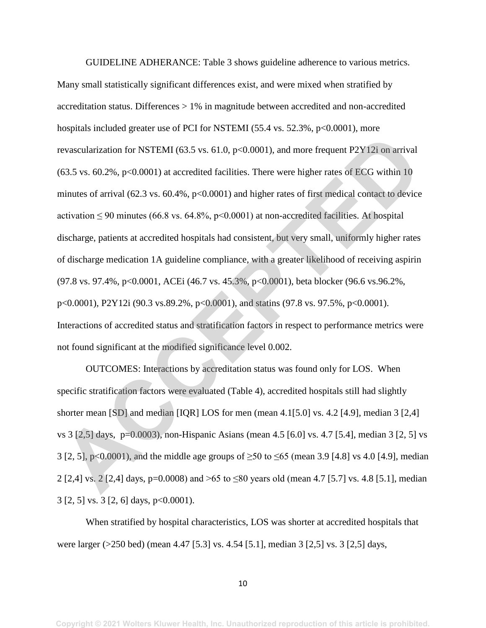GUIDELINE ADHERANCE: Table 3 shows guideline adherence to various metrics. Many small statistically significant differences exist, and were mixed when stratified by accreditation status. Differences > 1% in magnitude between accredited and non-accredited hospitals included greater use of PCI for NSTEMI (55.4 vs. 52.3%, p<0.0001), more revascularization for NSTEMI (63.5 vs. 61.0, p<0.0001), and more frequent P2Y12i on arrival  $(63.5 \text{ vs. } 60.2\%$ ,  $p<0.0001$ ) at accredited facilities. There were higher rates of ECG within 10 minutes of arrival (62.3 vs. 60.4%, p<0.0001) and higher rates of first medical contact to device activation  $\leq 90$  minutes (66.8 vs. 64.8%, p<0.0001) at non-accredited facilities. At hospital discharge, patients at accredited hospitals had consistent, but very small, uniformly higher rates of discharge medication 1A guideline compliance, with a greater likelihood of receiving aspirin (97.8 vs. 97.4%, p<0.0001, ACEi (46.7 vs. 45.3%, p<0.0001), beta blocker (96.6 vs.96.2%, p<0.0001), P2Y12i (90.3 vs.89.2%, p<0.0001), and statins (97.8 vs. 97.5%, p<0.0001). Interactions of accredited status and stratification factors in respect to performance metrics were not found significant at the modified significance level 0.002. evascularization for NSTEM1 (63.5 vs. 61.0, p<0.0001), and more frequent P2Y12i on arrival<br>
(63.5 vs. 60.2%, p<0.0001) at accredited facilities. There were higher rates of ECG within 10<br>
innutes of arrival (62.3 vs. 60.4%

OUTCOMES: Interactions by accreditation status was found only for LOS. When specific stratification factors were evaluated (Table 4), accredited hospitals still had slightly shorter mean [SD] and median [IQR] LOS for men (mean 4.1[5.0] vs. 4.2 [4.9], median 3 [2,4] vs 3 [2,5] days, p=0.0003), non-Hispanic Asians (mean 4.5 [6.0] vs. 4.7 [5.4], median 3 [2, 5] vs 3 [2, 5], p<0.0001), and the middle age groups of ≥50 to ≤65 (mean 3.9 [4.8] vs 4.0 [4.9], median 2 [2,4] vs. 2 [2,4] days, p=0.0008) and >65 to ≤80 years old (mean 4.7 [5.7] vs. 4.8 [5.1], median 3 [2, 5] vs. 3 [2, 6] days, p<0.0001).

When stratified by hospital characteristics, LOS was shorter at accredited hospitals that were larger (>250 bed) (mean 4.47 [5.3] vs. 4.54 [5.1], median 3 [2,5] vs. 3 [2,5] days,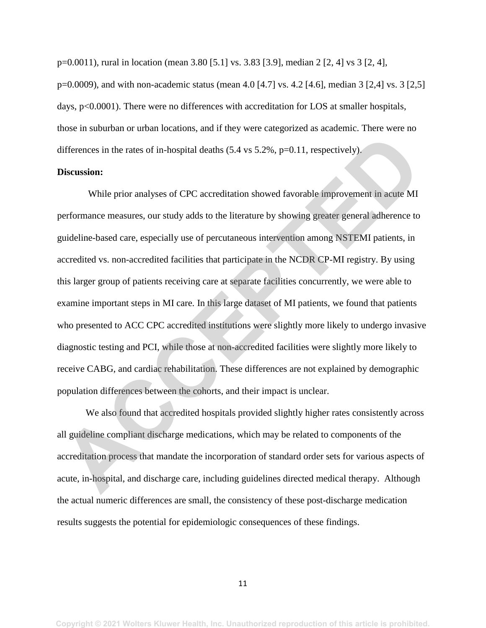p=0.0011), rural in location (mean 3.80 [5.1] vs. 3.83 [3.9], median 2 [2, 4] vs 3 [2, 4], p=0.0009), and with non-academic status (mean 4.0 [4.7] vs. 4.2 [4.6], median 3 [2,4] vs. 3 [2,5] days, p<0.0001). There were no differences with accreditation for LOS at smaller hospitals, those in suburban or urban locations, and if they were categorized as academic. There were no differences in the rates of in-hospital deaths (5.4 vs 5.2%, p=0.11, respectively).

#### **Discussion:**

While prior analyses of CPC accreditation showed favorable improvement in acute MI performance measures, our study adds to the literature by showing greater general adherence to guideline-based care, especially use of percutaneous intervention among NSTEMI patients, in accredited vs. non-accredited facilities that participate in the NCDR CP-MI registry. By using this larger group of patients receiving care at separate facilities concurrently, we were able to examine important steps in MI care. In this large dataset of MI patients, we found that patients who presented to ACC CPC accredited institutions were slightly more likely to undergo invasive diagnostic testing and PCI, while those at non-accredited facilities were slightly more likely to receive CABG, and cardiac rehabilitation. These differences are not explained by demographic population differences between the cohorts, and their impact is unclear. differences in the rates of in-hospital deaths (5.4 vs 5.2%, p=0.11, respectively).<br> **Discussion:**<br>
While prior analyses of CPC accreditation showed favorable improvement in acute MI<br>
reformance measures, our study adds to

We also found that accredited hospitals provided slightly higher rates consistently across all guideline compliant discharge medications, which may be related to components of the accreditation process that mandate the incorporation of standard order sets for various aspects of acute, in-hospital, and discharge care, including guidelines directed medical therapy. Although the actual numeric differences are small, the consistency of these post-discharge medication results suggests the potential for epidemiologic consequences of these findings.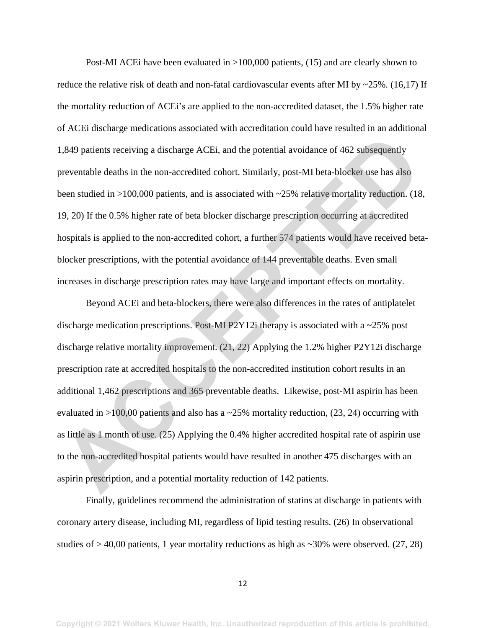Post-MI ACEi have been evaluated in >100,000 patients, (15) and are clearly shown to reduce the relative risk of death and non-fatal cardiovascular events after MI by  $\sim$ 25%. (16,17) If the mortality reduction of ACEi's are applied to the non-accredited dataset, the 1.5% higher rate of ACEi discharge medications associated with accreditation could have resulted in an additional 1,849 patients receiving a discharge ACEi, and the potential avoidance of 462 subsequently preventable deaths in the non-accredited cohort. Similarly, post-MI beta-blocker use has also been studied in >100,000 patients, and is associated with ~25% relative mortality reduction. (18, 19, 20) If the 0.5% higher rate of beta blocker discharge prescription occurring at accredited hospitals is applied to the non-accredited cohort, a further 574 patients would have received betablocker prescriptions, with the potential avoidance of 144 preventable deaths. Even small increases in discharge prescription rates may have large and important effects on mortality.

Beyond ACEi and beta-blockers, there were also differences in the rates of antiplatelet discharge medication prescriptions. Post-MI P2Y12i therapy is associated with a ~25% post discharge relative mortality improvement. (21, 22) Applying the 1.2% higher P2Y12i discharge prescription rate at accredited hospitals to the non-accredited institution cohort results in an additional 1,462 prescriptions and 365 preventable deaths. Likewise, post-MI aspirin has been evaluated in  $>100,00$  patients and also has a  $\sim$ 25% mortality reduction, (23, 24) occurring with as little as 1 month of use. (25) Applying the 0.4% higher accredited hospital rate of aspirin use to the non-accredited hospital patients would have resulted in another 475 discharges with an aspirin prescription, and a potential mortality reduction of 142 patients. 1,849 patients receiving a discharge ACEi, and the potential avoidance of 462 subsequently<br>preventable deaths in the non-accredited cohort. Similarly, post-MI beta-blocker use has also<br>been studied in >100,000 patients, an

Finally, guidelines recommend the administration of statins at discharge in patients with coronary artery disease, including MI, regardless of lipid testing results. (26) In observational studies of  $> 40,00$  patients, 1 year mortality reductions as high as  $\sim 30\%$  were observed. (27, 28)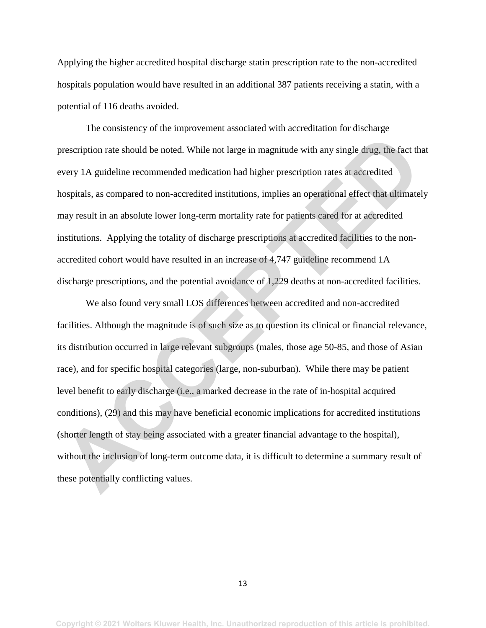Applying the higher accredited hospital discharge statin prescription rate to the non-accredited hospitals population would have resulted in an additional 387 patients receiving a statin, with a potential of 116 deaths avoided.

The consistency of the improvement associated with accreditation for discharge prescription rate should be noted. While not large in magnitude with any single drug, the fact that every 1A guideline recommended medication had higher prescription rates at accredited hospitals, as compared to non-accredited institutions, implies an operational effect that ultimately may result in an absolute lower long-term mortality rate for patients cared for at accredited institutions. Applying the totality of discharge prescriptions at accredited facilities to the nonaccredited cohort would have resulted in an increase of 4,747 guideline recommend 1A discharge prescriptions, and the potential avoidance of 1,229 deaths at non-accredited facilities.

We also found very small LOS differences between accredited and non-accredited facilities. Although the magnitude is of such size as to question its clinical or financial relevance, its distribution occurred in large relevant subgroups (males, those age 50-85, and those of Asian race), and for specific hospital categories (large, non-suburban). While there may be patient level benefit to early discharge (i.e., a marked decrease in the rate of in-hospital acquired conditions), (29) and this may have beneficial economic implications for accredited institutions (shorter length of stay being associated with a greater financial advantage to the hospital), without the inclusion of long-term outcome data, it is difficult to determine a summary result of these potentially conflicting values. processoription rate should be noted. While not large in magnitude with any single drug, the fact the every 1A guideline recommended medication had higher prescription rates at accredited enospitals, as compared to non-acc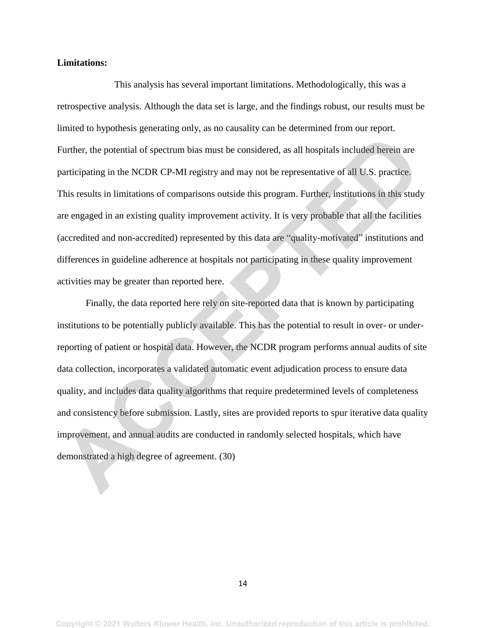#### **Limitations:**

 This analysis has several important limitations. Methodologically, this was a retrospective analysis. Although the data set is large, and the findings robust, our results must be limited to hypothesis generating only, as no causality can be determined from our report. Further, the potential of spectrum bias must be considered, as all hospitals included herein are participating in the NCDR CP-MI registry and may not be representative of all U.S. practice. This results in limitations of comparisons outside this program. Further, institutions in this study are engaged in an existing quality improvement activity. It is very probable that all the facilities (accredited and non-accredited) represented by this data are "quality-motivated" institutions and differences in guideline adherence at hospitals not participating in these quality improvement activities may be greater than reported here.

Finally, the data reported here rely on site-reported data that is known by participating institutions to be potentially publicly available. This has the potential to result in over- or underreporting of patient or hospital data. However, the NCDR program performs annual audits of site data collection, incorporates a validated automatic event adjudication process to ensure data quality, and includes data quality algorithms that require predetermined levels of completeness and consistency before submission. Lastly, sites are provided reports to spur iterative data quality improvement, and annual audits are conducted in randomly selected hospitals, which have demonstrated a high degree of agreement. (30) Further, the potential of spectrum bias must be considered, as all hospitals included herein are participating in the NCDR CP-MI registry and may not be representative of all U.S. practice, this results in limitations of c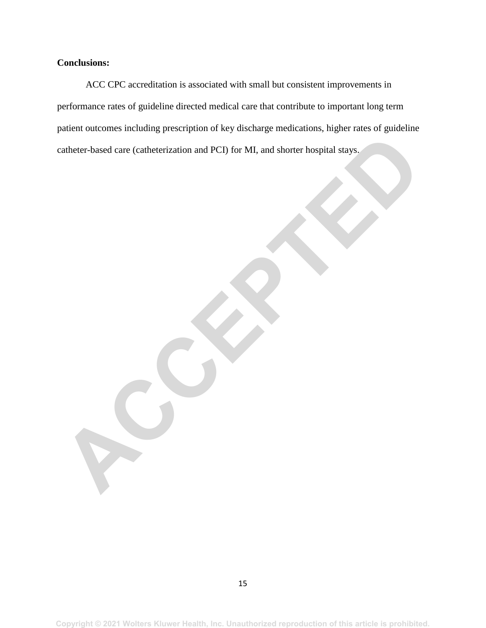### **Conclusions:**

ACC CPC accreditation is associated with small but consistent improvements in performance rates of guideline directed medical care that contribute to important long term patient outcomes including prescription of key discharge medications, higher rates of guideline catheter-based care (catheterization and PCI) for MI, and shorter hospital stays.

Eatherer-based care (cathererization and PCI) for MI, and shorter hospital stays.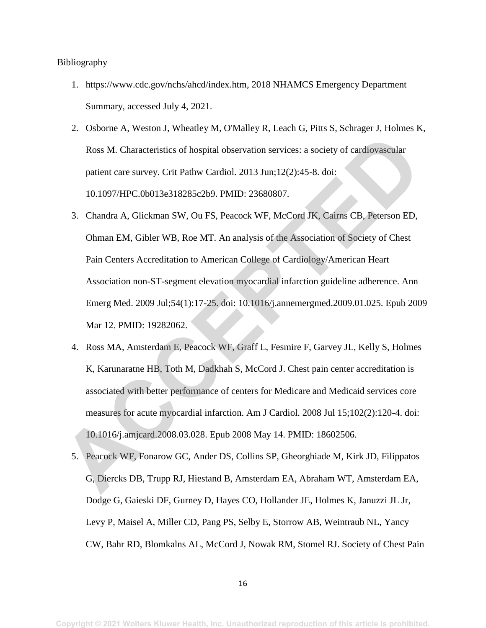#### Bibliography

- 1. [https://www.cdc.gov/nchs/ahcd/index.htm,](https://www.cdc.gov/nchs/ahcd/index.htm) 2018 NHAMCS Emergency Department Summary, accessed July 4, 2021.
- 2. Osborne A, Weston J, Wheatley M, O'Malley R, Leach G, Pitts S, Schrager J, Holmes K, Ross M. Characteristics of hospital observation services: a society of cardiovascular patient care survey. Crit Pathw Cardiol. 2013 Jun;12(2):45-8. doi: 10.1097/HPC.0b013e318285c2b9. PMID: 23680807.
- 3. Chandra A, Glickman SW, Ou FS, Peacock WF, McCord JK, Cairns CB, Peterson ED, Ohman EM, Gibler WB, Roe MT. An analysis of the Association of Society of Chest Pain Centers Accreditation to American College of Cardiology/American Heart Association non-ST-segment elevation myocardial infarction guideline adherence. Ann Emerg Med. 2009 Jul;54(1):17-25. doi: 10.1016/j.annemergmed.2009.01.025. Epub 2009 Mar 12. PMID: 19282062. Ross M. Characteristics of hospital observation services: a society of cardiovascular<br>patient care survey. Crit Pathw Cardiol. 2013 Jun;12(2):45-8. doi:<br>10.1097/HPC.0b013e318285c2b9. PMID: 23680807.<br>3. Chandra A, Glickman
	- 4. Ross MA, Amsterdam E, Peacock WF, Graff L, Fesmire F, Garvey JL, Kelly S, Holmes K, Karunaratne HB, Toth M, Dadkhah S, McCord J. Chest pain center accreditation is associated with better performance of centers for Medicare and Medicaid services core measures for acute myocardial infarction. Am J Cardiol. 2008 Jul 15;102(2):120-4. doi: 10.1016/j.amjcard.2008.03.028. Epub 2008 May 14. PMID: 18602506.
	- 5. Peacock WF, Fonarow GC, Ander DS, Collins SP, Gheorghiade M, Kirk JD, Filippatos G, Diercks DB, Trupp RJ, Hiestand B, Amsterdam EA, Abraham WT, Amsterdam EA, Dodge G, Gaieski DF, Gurney D, Hayes CO, Hollander JE, Holmes K, Januzzi JL Jr, Levy P, Maisel A, Miller CD, Pang PS, Selby E, Storrow AB, Weintraub NL, Yancy CW, Bahr RD, Blomkalns AL, McCord J, Nowak RM, Stomel RJ. Society of Chest Pain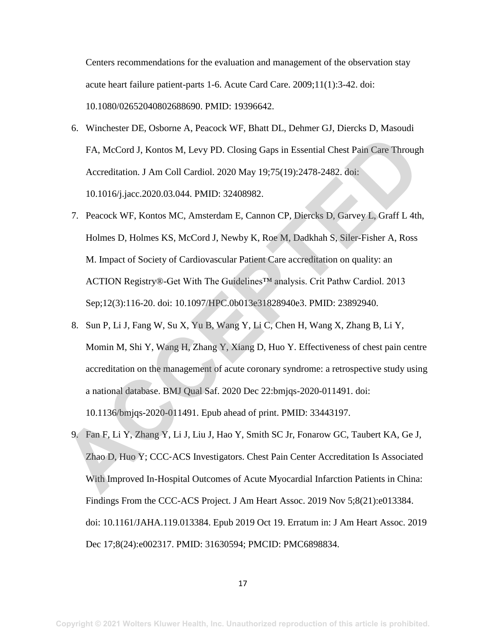Centers recommendations for the evaluation and management of the observation stay acute heart failure patient-parts 1-6. Acute Card Care. 2009;11(1):3-42. doi: 10.1080/02652040802688690. PMID: 19396642.

- 6. Winchester DE, Osborne A, Peacock WF, Bhatt DL, Dehmer GJ, Diercks D, Masoudi FA, McCord J, Kontos M, Levy PD. Closing Gaps in Essential Chest Pain Care Through Accreditation. J Am Coll Cardiol. 2020 May 19;75(19):2478-2482. doi: 10.1016/j.jacc.2020.03.044. PMID: 32408982.
- 7. Peacock WF, Kontos MC, Amsterdam E, Cannon CP, Diercks D, Garvey L, Graff L 4th, Holmes D, Holmes KS, McCord J, Newby K, Roe M, Dadkhah S, Siler-Fisher A, Ross M. Impact of Society of Cardiovascular Patient Care accreditation on quality: an ACTION Registry®-Get With The Guidelines™ analysis. Crit Pathw Cardiol. 2013 Sep;12(3):116-20. doi: 10.1097/HPC.0b013e31828940e3. PMID: 23892940.
- 8. Sun P, Li J, Fang W, Su X, Yu B, Wang Y, Li C, Chen H, Wang X, Zhang B, Li Y, Momin M, Shi Y, Wang H, Zhang Y, Xiang D, Huo Y. Effectiveness of chest pain centre accreditation on the management of acute coronary syndrome: a retrospective study using a national database. BMJ Qual Saf. 2020 Dec 22:bmjqs-2020-011491. doi: 10.1136/bmjqs-2020-011491. Epub ahead of print. PMID: 33443197. FA, McCord J, Kontos M, Levy PD. Closing Gaps in Essential Chest Pain Care Through<br>Accreditation. J Am Coll Cardiol. 2020 May 19:75(19):2478-2482. doj:<br>
10.1016; jacc.2020.03.044. PMID: 32408982.<br>
7. Peacock WF, Kontos MC,
	- 9. Fan F, Li Y, Zhang Y, Li J, Liu J, Hao Y, Smith SC Jr, Fonarow GC, Taubert KA, Ge J, Zhao D, Huo Y; CCC‐ACS Investigators. Chest Pain Center Accreditation Is Associated With Improved In-Hospital Outcomes of Acute Myocardial Infarction Patients in China: Findings From the CCC-ACS Project. J Am Heart Assoc. 2019 Nov 5;8(21):e013384. doi: 10.1161/JAHA.119.013384. Epub 2019 Oct 19. Erratum in: J Am Heart Assoc. 2019 Dec 17;8(24):e002317. PMID: 31630594; PMCID: PMC6898834.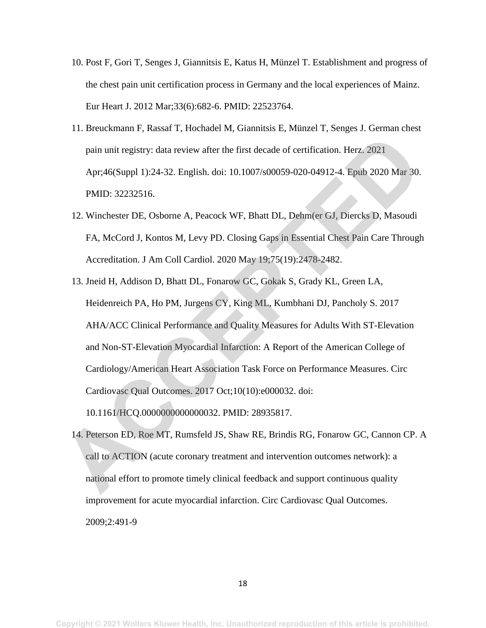- 10. Post F, Gori T, Senges J, Giannitsis E, Katus H, Münzel T. Establishment and progress of the chest pain unit certification process in Germany and the local experiences of Mainz. Eur Heart J. 2012 Mar;33(6):682-6. PMID: 22523764.
- 11. Breuckmann F, Rassaf T, Hochadel M, Giannitsis E, Münzel T, Senges J. German chest pain unit registry: data review after the first decade of certification. Herz. 2021 Apr;46(Suppl 1):24-32. English. doi: 10.1007/s00059-020-04912-4. Epub 2020 Mar 30. PMID: 32232516.
- 12. Winchester DE, Osborne A, Peacock WF, Bhatt DL, Dehm(er GJ, Diercks D, Masoudi FA, McCord J, Kontos M, Levy PD. Closing Gaps in Essential Chest Pain Care Through Accreditation. J Am Coll Cardiol. 2020 May 19;75(19):2478-2482.
- 13. Jneid H, Addison D, Bhatt DL, Fonarow GC, Gokak S, Grady KL, Green LA, Heidenreich PA, Ho PM, Jurgens CY, King ML, Kumbhani DJ, Pancholy S. 2017 AHA/ACC Clinical Performance and Quality Measures for Adults With ST-Elevation and Non-ST-Elevation Myocardial Infarction: A Report of the American College of Cardiology/American Heart Association Task Force on Performance Measures. Circ Cardiovasc Qual Outcomes. 2017 Oct;10(10):e000032. doi: pain unit registry: data review after the first decade of certification. Herz. 2021<br>Apr.46(Suppl 1):24-32. English. doi: 10.1007/s00059-020-04912-4. Epub 2020 Mar 30.<br>PMID: 32232516.<br>12. Winchester DE, Osborne A, Peacock W

10.1161/HCQ.0000000000000032. PMID: 28935817.

14. Peterson ED, Roe MT, Rumsfeld JS, Shaw RE, Brindis RG, Fonarow GC, Cannon CP. A call to ACTION (acute coronary treatment and intervention outcomes network): a national effort to promote timely clinical feedback and support continuous quality improvement for acute myocardial infarction. Circ Cardiovasc Qual Outcomes. 2009;2:491-9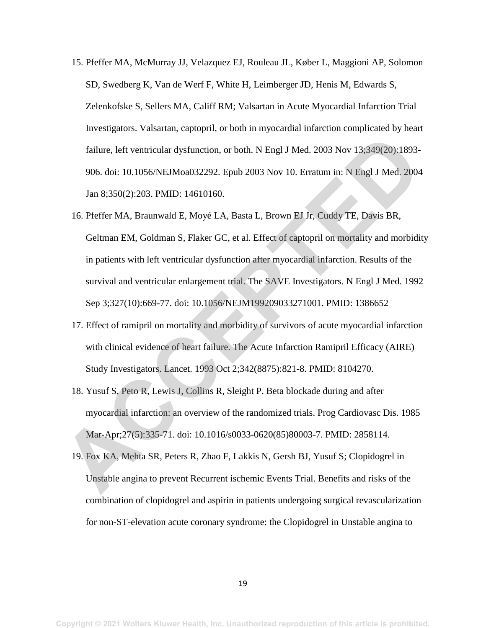- 15. Pfeffer MA, McMurray JJ, Velazquez EJ, Rouleau JL, Køber L, Maggioni AP, Solomon SD, Swedberg K, Van de Werf F, White H, Leimberger JD, Henis M, Edwards S, Zelenkofske S, Sellers MA, Califf RM; Valsartan in Acute Myocardial Infarction Trial Investigators. Valsartan, captopril, or both in myocardial infarction complicated by heart failure, left ventricular dysfunction, or both. N Engl J Med. 2003 Nov 13;349(20):1893- 906. doi: 10.1056/NEJMoa032292. Epub 2003 Nov 10. Erratum in: N Engl J Med. 2004 Jan 8;350(2):203. PMID: 14610160.
- 16. Pfeffer MA, Braunwald E, Moyé LA, Basta L, Brown EJ Jr, Cuddy TE, Davis BR, Geltman EM, Goldman S, Flaker GC, et al. Effect of captopril on mortality and morbidity in patients with left ventricular dysfunction after myocardial infarction. Results of the survival and ventricular enlargement trial. The SAVE Investigators. N Engl J Med. 1992 Sep 3;327(10):669-77. doi: 10.1056/NEJM199209033271001. PMID: 1386652 failure, left ventricular dysfunction, or both. N Engl J Med. 2003 Nov 13:349(20):1893-<br>
906. doi: 10.1056/NEJMoa032292. Epub 2003 Nov 10. Erratum in: N Engl J Med. 2004<br>
Jan 8:350(2):203. PMID: 14610160.<br>
16. Pfeffer MA,
	- 17. Effect of ramipril on mortality and morbidity of survivors of acute myocardial infarction with clinical evidence of heart failure. The Acute Infarction Ramipril Efficacy (AIRE) Study Investigators. Lancet. 1993 Oct 2;342(8875):821-8. PMID: 8104270.
	- 18. Yusuf S, Peto R, Lewis J, Collins R, Sleight P. Beta blockade during and after myocardial infarction: an overview of the randomized trials. Prog Cardiovasc Dis. 1985 Mar-Apr;27(5):335-71. doi: 10.1016/s0033-0620(85)80003-7. PMID: 2858114.
	- 19. Fox KA, Mehta SR, Peters R, Zhao F, Lakkis N, Gersh BJ, Yusuf S; Clopidogrel in Unstable angina to prevent Recurrent ischemic Events Trial. Benefits and risks of the combination of clopidogrel and aspirin in patients undergoing surgical revascularization for non -ST-elevation acute coronary syndrome: the Clopidogrel in Unstable angina to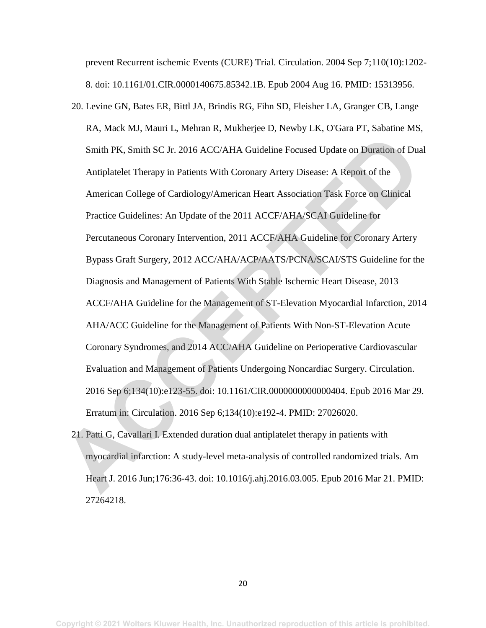prevent Recurrent ischemic Events (CURE) Trial. Circulation. 2004 Sep 7;110(10):1202- 8. doi: 10.1161/01.CIR.0000140675.85342.1B. Epub 2004 Aug 16. PMID: 15313956.

- 20. Levine GN, Bates ER, Bittl JA, Brindis RG, Fihn SD, Fleisher LA, Granger CB, Lange RA, Mack MJ, Mauri L, Mehran R, Mukherjee D, Newby LK, O'Gara PT, Sabatine MS, Smith PK, Smith SC Jr. 2016 ACC/AHA Guideline Focused Update on Duration of Dual Antiplatelet Therapy in Patients With Coronary Artery Disease: A Report of the American College of Cardiology/American Heart Association Task Force on Clinical Practice Guidelines: An Update of the 2011 ACCF/AHA/SCAI Guideline for Percutaneous Coronary Intervention, 2011 ACCF/AHA Guideline for Coronary Artery Bypass Graft Surgery, 2012 ACC/AHA/ACP/AATS/PCNA/SCAI/STS Guideline for the Diagnosis and Management of Patients With Stable Ischemic Heart Disease, 2013 ACCF/AHA Guideline for the Management of ST-Elevation Myocardial Infarction, 2014 AHA/ACC Guideline for the Management of Patients With Non-ST-Elevation Acute Coronary Syndromes, and 2014 ACC/AHA Guideline on Perioperative Cardiovascular Evaluation and Management of Patients Undergoing Noncardiac Surgery. Circulation. 2016 Sep 6;134(10):e123-55. doi: 10.1161/CIR.0000000000000404. Epub 2016 Mar 29. Erratum in: Circulation. 2016 Sep 6;134(10):e192-4. PMID: 27026020. Smith PK. Smith SC Jr. 2016 ACC/AHA Guideline Focused Update on Duration of Duratiplatelet Therapy in Patients With Coronary Artery Disease: A Report of the<br>American College of Cardiology/American Heart Association Task Fo
	- 21. Patti G, Cavallari I. Extended duration dual antiplatelet therapy in patients with myocardial infarction: A study-level meta-analysis of controlled randomized trials. Am Heart J. 2016 Jun;176:36-43. doi: 10.1016/j.ahj.2016.03.005. Epub 2016 Mar 21. PMID: 27264218.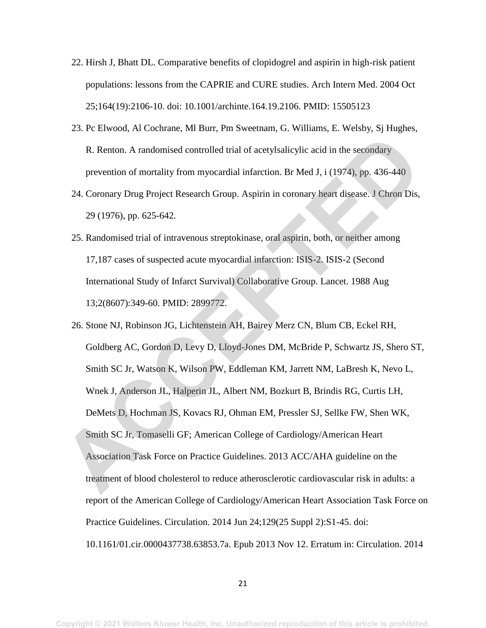- 22. Hirsh J, Bhatt DL. Comparative benefits of clopidogrel and aspirin in high-risk patient populations: lessons from the CAPRIE and CURE studies. Arch Intern Med. 2004 Oct 25;164(19):2106-10. doi: 10.1001/archinte.164.19.2106. PMID: 15505123
- 23. Pc Elwood, Al Cochrane, Ml Burr, Pm Sweetnam, G. Williams, E. Welsby, Sj Hughes, R. Renton. A randomised controlled trial of acetylsalicylic acid in the secondary prevention of mortality from myocardial infarction. Br Med J, i (1974), pp. 436-440
- 24. Coronary Drug Project Research Group. Aspirin in coronary heart disease. J Chron Dis, 29 (1976), pp. 625-642.
- 25. Randomised trial of intravenous streptokinase, oral aspirin, both, or neither among 17,187 cases of suspected acute myocardial infarction: ISIS-2. ISIS-2 (Second International Study of Infarct Survival) Collaborative Group. Lancet. 1988 Aug 13;2(8607):349-60. PMID: 2899772.
- 26. Stone NJ, Robinson JG, Lichtenstein AH, Bairey Merz CN, Blum CB, Eckel RH, Goldberg AC, Gordon D, Levy D, Lloyd-Jones DM, McBride P, Schwartz JS, Shero ST, Smith SC Jr, Watson K, Wilson PW, Eddleman KM, Jarrett NM, LaBresh K, Nevo L, Wnek J, Anderson JL, Halperin JL, Albert NM, Bozkurt B, Brindis RG, Curtis LH, DeMets D, Hochman JS, Kovacs RJ, Ohman EM, Pressler SJ, Sellke FW, Shen WK, Smith SC Jr, Tomaselli GF; American College of Cardiology/American Heart Association Task Force on Practice Guidelines. 2013 ACC/AHA guideline on the treatment of blood cholesterol to reduce atherosclerotic cardiovascular risk in adults: a report of the American College of Cardiology/American Heart Association Task Force on Practice Guidelines. Circulation. 2014 Jun 24;129(25 Suppl 2):S1-45. doi: 10.1161/01.cir.0000437738.63853.7a. Epub 2013 Nov 12. Erratum in: Circulation. 2014 R. Renton. A randomised controlled trial of acetylsalicylic acid in the secondary<br>prevention of mortality from myocardial infarction. Br Med J. i (1974), pp. 436-440<br>24. Coronary Drug Project Research Group. Aspirin in cor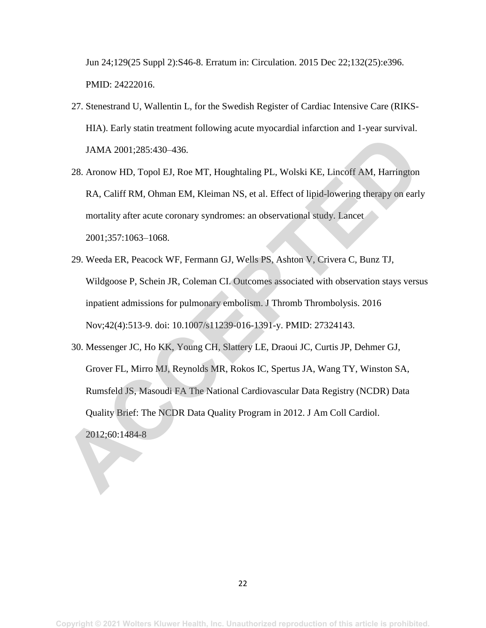Jun 24;129(25 Suppl 2):S46-8. Erratum in: Circulation. 2015 Dec 22;132(25):e396. PMID: 24222016.

- 27. Stenestrand U, Wallentin L, for the Swedish Register of Cardiac Intensive Care (RIKS-HIA). Early statin treatment following acute myocardial infarction and 1-year survival. JAMA 2001;285:430–436.
- 28. Aronow HD, Topol EJ, Roe MT, Houghtaling PL, Wolski KE, Lincoff AM, Harrington RA, Califf RM, Ohman EM, Kleiman NS, et al. Effect of lipid-lowering therapy on early mortality after acute coronary syndromes: an observational study. Lancet 2001;357:1063–1068.
- 29. Weeda ER, Peacock WF, Fermann GJ, Wells PS, Ashton V, Crivera C, Bunz TJ, Wildgoose P, Schein JR, Coleman CI. Outcomes associated with observation stays versus inpatient admissions for pulmonary embolism. J Thromb Thrombolysis. 2016 Nov;42(4):513-9. doi: 10.1007/s11239-016-1391-y. PMID: 27324143.
- 30. Messenger JC, Ho KK, Young CH, Slattery LE, Draoui JC, Curtis JP, Dehmer GJ, Grover FL, Mirro MJ, Reynolds MR, Rokos IC, Spertus JA, Wang TY, Winston SA, Rumsfeld JS, Masoudi FA The National Cardiovascular Data Registry (NCDR) Data Quality Brief: The NCDR Data Quality Program in 2012. J Am Coll Cardiol. 2012;60:1484-8 JAMA 2001;285:430-436.<br>
28. Aronow HD, Topol EJ, Roe MT, Houghtaling PL, Wolski KE, Lincoff AM, Harrington<br>
RA, Califf RM, Ohman EM, Kleiman NS, et al. Effect of lipid-lowering therapy on earl<br>
mortality after acute corona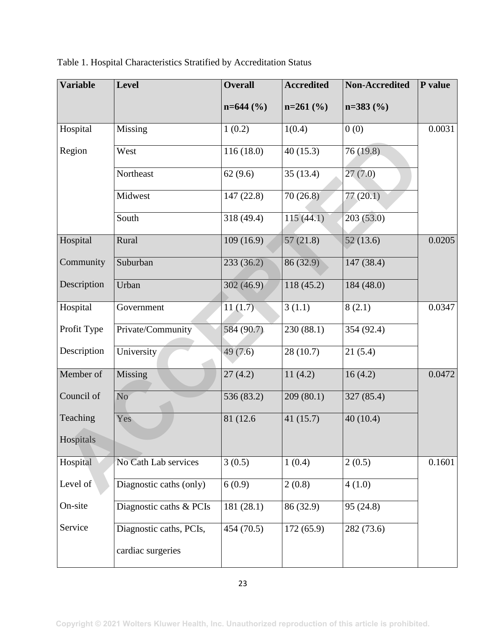| <b>Variable</b> | <b>Level</b>            | <b>Overall</b> | <b>Accredited</b>     | <b>Non-Accredited</b> | P value |
|-----------------|-------------------------|----------------|-----------------------|-----------------------|---------|
|                 |                         | $n=644$ (%)    | $n=261$ (%)           | $n=383(%)$            |         |
| Hospital        | Missing                 | 1(0.2)         | 1(0.4)                | 0(0)                  | 0.0031  |
| Region          | West                    | 116(18.0)      | $\overline{40(15.3)}$ | 76 (19.8)             |         |
|                 | Northeast               | 62(9.6)        | 35(13.4)              | 27(7.0)               |         |
|                 | Midwest                 | 147 (22.8)     | 70(26.8)              | 77(20.1)              |         |
|                 | South                   | 318 (49.4)     | 115(44.1)             | 203(53.0)             |         |
| Hospital        | Rural                   | 109 (16.9)     | 57(21.8)              | 52(13.6)              | 0.0205  |
| Community       | Suburban                | 233(36.2)      | 86 (32.9)             | 147 (38.4)            |         |
| Description     | Urban                   | 302(46.9)      | 118 (45.2)            | 184 (48.0)            |         |
| Hospital        | Government              | 11(1.7)        | 3(1.1)                | 8(2.1)                | 0.0347  |
| Profit Type     | Private/Community       | 584 (90.7)     | 230 (88.1)            | 354 (92.4)            |         |
| Description     | University              | 49(7.6)        | 28(10.7)              | 21(5.4)               |         |
| Member of       | Missing                 | 27(4.2)        | 11(4.2)               | 16(4.2)               | 0.0472  |
| Council of      | N <sub>o</sub>          | 536 (83.2)     | 209(80.1)             | 327 (85.4)            |         |
| Teaching        | Yes                     | 81 (12.6)      | 41(15.7)              | 40 (10.4)             |         |
| Hospitals       |                         |                |                       |                       |         |
| Hospital        | No Cath Lab services    | 3(0.5)         | 1(0.4)                | 2(0.5)                | 0.1601  |
| Level of        | Diagnostic caths (only) | 6(0.9)         | 2(0.8)                | 4(1.0)                |         |
| On-site         | Diagnostic caths & PCIs | 181 (28.1)     | 86 (32.9)             | 95 (24.8)             |         |
| Service         | Diagnostic caths, PCIs, | 454(70.5)      | 172(65.9)             | 282 (73.6)            |         |
|                 | cardiac surgeries       |                |                       |                       |         |

| Table 1. Hospital Characteristics Stratified by Accreditation Status |
|----------------------------------------------------------------------|
|----------------------------------------------------------------------|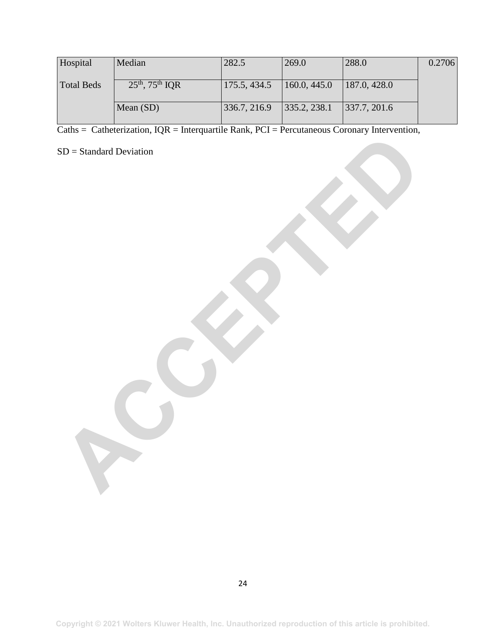| Hospital          | Median                    | 282.5        | 269.0        | 288.0        | 0.2706 |
|-------------------|---------------------------|--------------|--------------|--------------|--------|
| <b>Total Beds</b> | $25^{th}$ , $75^{th}$ IQR | 175.5, 434.5 | 160.0, 445.0 | 187.0, 428.0 |        |
|                   | Mean $(SD)$               | 336.7, 216.9 | 335.2, 238.1 | 337.7, 201.6 |        |

Caths = Catheterization,  $IQR = Integrarities Rank$ ,  $PCI = Percutaneous Coronary Intervention$ ,

SD = Standard Deviation SD = Standard Deviation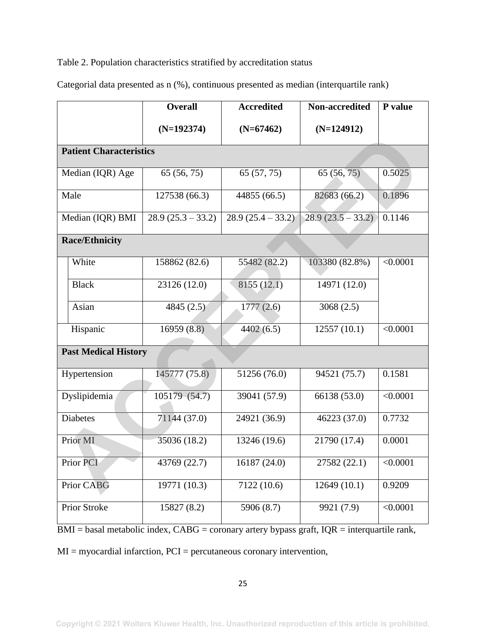## Table 2. Population characteristics stratified by accreditation status

|                                | <b>Overall</b>      | <b>Accredited</b>   | Non-accredited      | P value  |
|--------------------------------|---------------------|---------------------|---------------------|----------|
|                                | $(N=192374)$        | $(N=67462)$         | $(N=124912)$        |          |
| <b>Patient Characteristics</b> |                     |                     |                     |          |
| Median (IQR) Age               | 65 (56, 75)         | 65 (57, 75)         | 65(56, 75)          | 0.5025   |
| Male                           | 127538 (66.3)       | 44855 (66.5)        | 82683 (66.2)        | 0.1896   |
| Median (IQR) BMI               | $28.9(25.3 - 33.2)$ | $28.9(25.4 - 33.2)$ | $28.9(23.5 - 33.2)$ | 0.1146   |
| <b>Race/Ethnicity</b>          |                     |                     |                     |          |
| White                          | 158862 (82.6)       | 55482 (82.2)        | 103380 (82.8%)      | < 0.0001 |
| <b>Black</b>                   | 23126 (12.0)        | 8155(12.1)          | 14971 (12.0)        |          |
| Asian                          | 4845(2.5)           | 1777(2.6)           | 3068(2.5)           |          |
| Hispanic                       | 16959 (8.8)         | 4402(6.5)           | 12557(10.1)         | < 0.0001 |
| <b>Past Medical History</b>    |                     |                     |                     |          |
| Hypertension                   | 145777 (75.8)       | 51256 (76.0)        | 94521 (75.7)        | 0.1581   |
| Dyslipidemia                   | $105179-(54.7)$     | 39041 (57.9)        | 66138 (53.0)        | < 0.0001 |
| <b>Diabetes</b>                | 71144 (37.0)        | 24921 (36.9)        | 46223 (37.0)        | 0.7732   |
| Prior MI                       | 35036 (18.2)        | 13246 (19.6)        | 21790 (17.4)        | 0.0001   |
| Prior PCI                      | 43769 (22.7)        | 16187 (24.0)        | 27582 (22.1)        | < 0.0001 |
| Prior CABG                     | 19771 (10.3)        | 7122 (10.6)         | 12649(10.1)         | 0.9209   |
| Prior Stroke                   | 15827 (8.2)         | 5906 (8.7)          | 9921 (7.9)          | < 0.0001 |

Categorial data presented as n (%), continuous presented as median (interquartile rank)

BMI = basal metabolic index, CABG = coronary artery bypass graft, IQR = interquartile rank,

MI = myocardial infarction, PCI = percutaneous coronary intervention,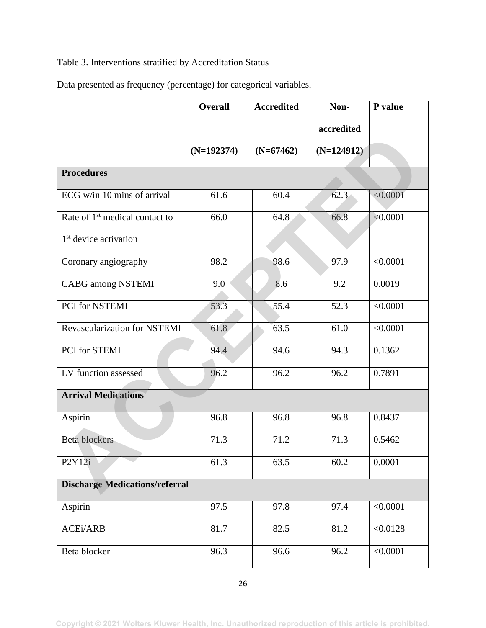# Table 3. Interventions stratified by Accreditation Status

Data presented as frequency (percentage) for categorical variables.

|                                            | <b>Overall</b> | <b>Accredited</b> | Non-         | P value  |  |
|--------------------------------------------|----------------|-------------------|--------------|----------|--|
|                                            |                |                   | accredited   |          |  |
|                                            | $(N=192374)$   | $(N=67462)$       | $(N=124912)$ |          |  |
| <b>Procedures</b>                          |                |                   |              |          |  |
| ECG $w/in 10$ mins of arrival              | 61.6           | 60.4              | 62.3         | < 0.0001 |  |
| Rate of 1 <sup>st</sup> medical contact to | 66.0           | 64.8              | 66.8         | < 0.0001 |  |
| 1 <sup>st</sup> device activation          |                |                   |              |          |  |
| Coronary angiography                       | 98.2           | 98.6              | 97.9         | < 0.0001 |  |
| <b>CABG</b> among NSTEMI                   | 9.0            | 8.6               | 9.2          | 0.0019   |  |
| PCI for NSTEMI                             | 53.3           | 55.4              | 52.3         | < 0.0001 |  |
| Revascularization for NSTEMI               | 61.8           | 63.5              | 61.0         | < 0.0001 |  |
| PCI for STEMI                              | 94.4           | 94.6              | 94.3         | 0.1362   |  |
| LV function assessed                       | 96.2           | 96.2              | 96.2         | 0.7891   |  |
| <b>Arrival Medications</b>                 |                |                   |              |          |  |
| Aspirin                                    | 96.8           | 96.8              | 96.8         | 0.8437   |  |
| <b>Beta blockers</b>                       | 71.3           | 71.2              | 71.3         | 0.5462   |  |
| P <sub>2</sub> Y <sub>12i</sub>            | 61.3           | 63.5              | 60.2         | 0.0001   |  |
| <b>Discharge Medications/referral</b>      |                |                   |              |          |  |
| Aspirin                                    | 97.5           | 97.8              | 97.4         | < 0.0001 |  |
| <b>ACEi/ARB</b>                            | 81.7           | 82.5              | 81.2         | < 0.0128 |  |
| Beta blocker                               | 96.3           | 96.6              | 96.2         | < 0.0001 |  |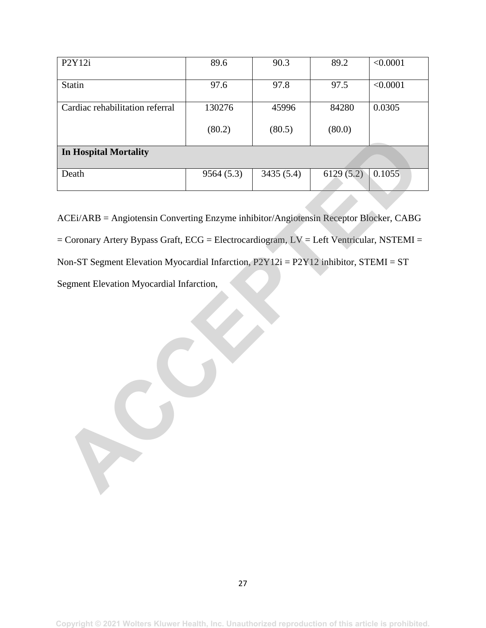| P2Y12i                          | 89.6      | 90.3      | 89.2      | < 0.0001 |  |  |
|---------------------------------|-----------|-----------|-----------|----------|--|--|
|                                 |           |           |           |          |  |  |
| <b>Statin</b>                   | 97.6      | 97.8      | 97.5      | < 0.0001 |  |  |
|                                 |           |           |           |          |  |  |
| Cardiac rehabilitation referral | 130276    | 45996     | 84280     | 0.0305   |  |  |
|                                 |           |           |           |          |  |  |
|                                 | (80.2)    | (80.5)    | (80.0)    |          |  |  |
|                                 |           |           |           |          |  |  |
| <b>In Hospital Mortality</b>    |           |           |           |          |  |  |
|                                 |           |           |           |          |  |  |
| Death                           | 9564(5.3) | 3435(5.4) | 6129(5.2) | 0.1055   |  |  |
|                                 |           |           |           |          |  |  |

ACEi/ARB = Angiotensin Converting Enzyme inhibitor/Angiotensin Receptor Blocker, CABG = Coronary Artery Bypass Graft, ECG = Electrocardiogram, LV = Left Ventricular, NSTEMI = Non-ST Segment Elevation Myocardial Infarction, P2Y12i = P2Y12 inhibitor, STEMI = ST Segment Elevation Myocardial Infarction, **In Hospital Mortality**<br>
Death 9564 (5.3) 9435 (5.4) 6129 (5.2) 0.1055<br>
ACEF/ARB = Angiotensin Converting Enzyme inhibitor/Angiotensin Receptor Blocker, CABG<br>
ECTOREY ARB = Angiotensin Converting Enzyme inhibitor/Angiotens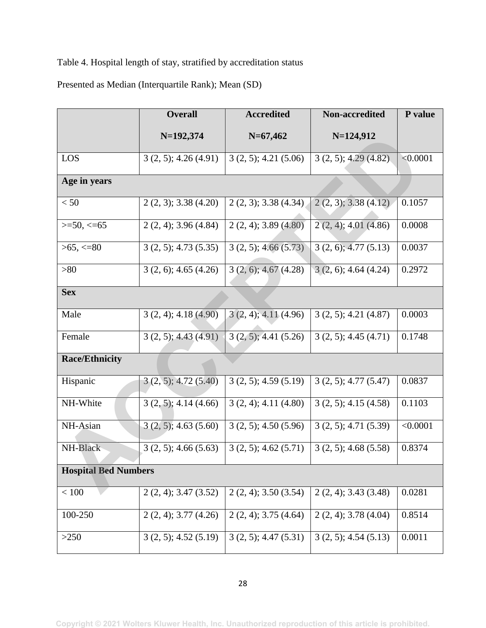Table 4. Hospital length of stay, stratified by accreditation status

Presented as Median (Interquartile Rank); Mean (SD)

|                             | <b>Overall</b>            | <b>Accredited</b>         | Non-accredited            | P value  |  |  |  |
|-----------------------------|---------------------------|---------------------------|---------------------------|----------|--|--|--|
|                             | $N=192,374$               | $N=67,462$                | $N=124,912$               |          |  |  |  |
| LOS                         | 3(2, 5); 4.26(4.91)       | $3(2, 5)$ ; 4.21 $(5.06)$ | 3(2, 5); 4.29(4.82)       | < 0.0001 |  |  |  |
| Age in years                |                           |                           |                           |          |  |  |  |
| < 50                        | $2(2, 3)$ ; 3.38 (4.20)   | $2(2, 3)$ ; 3.38 (4.34)   | $2(2, 3)$ ; 3.38 $(4.12)$ | 0.1057   |  |  |  |
| $>=$ 50, $<=$ 65            | $2(2, 4)$ ; 3.96 (4.84)   | $2(2, 4)$ ; 3.89 $(4.80)$ | $2(2, 4)$ ; 4.01 (4.86)   | 0.0008   |  |  |  |
| $>65, \leq 80$              | 3(2, 5); 4.73(5.35)       | $3(2, 5)$ ; 4.66 $(5.73)$ | $3(2, 6)$ ; 4.77 (5.13)   | 0.0037   |  |  |  |
| >80                         | $3(2, 6)$ ; 4.65 (4.26)   | $3(2, 6)$ ; 4.67 $(4.28)$ | $3(2, 6)$ ; 4.64 (4.24)   | 0.2972   |  |  |  |
| <b>Sex</b>                  |                           |                           |                           |          |  |  |  |
| Male                        | $3(2, 4)$ ; 4.18 $(4.90)$ | $3(2, 4)$ ; 4.11 (4.96)   | $3(2, 5)$ ; 4.21 $(4.87)$ | 0.0003   |  |  |  |
| Female                      | 3(2, 5); 4.43(4.91)       | $3(2, 5)$ ; 4.41 $(5.26)$ | $3(2, 5)$ ; 4.45 (4.71)   | 0.1748   |  |  |  |
| <b>Race/Ethnicity</b>       |                           |                           |                           |          |  |  |  |
| Hispanic                    | $3(2, 5)$ ; 4.72 $(5.40)$ | $3(2, 5)$ ; 4.59 (5.19)   | 3(2, 5); 4.77(5.47)       | 0.0837   |  |  |  |
| NH-White                    | $3(2, 5)$ ; 4.14 (4.66)   | $3(2, 4)$ ; 4.11 $(4.80)$ | 3(2, 5); 4.15(4.58)       | 0.1103   |  |  |  |
| NH-Asian                    | $3(2, 5)$ ; 4.63 (5.60)   | $3(2, 5)$ ; 4.50 (5.96)   | 3(2, 5); 4.71(5.39)       | < 0.0001 |  |  |  |
| NH-Black                    | $3(2, 5)$ ; 4.66 (5.63)   | $3(2, 5)$ ; 4.62 (5.71)   | $3(2, 5)$ ; 4.68 (5.58)   | 0.8374   |  |  |  |
| <b>Hospital Bed Numbers</b> |                           |                           |                           |          |  |  |  |
| < 100                       | $2(2, 4)$ ; 3.47 (3.52)   | $2(2, 4)$ ; 3.50 (3.54)   | $2(2, 4)$ ; 3.43 (3.48)   | 0.0281   |  |  |  |
| 100-250                     | $2(2, 4)$ ; 3.77 (4.26)   | $2(2, 4)$ ; 3.75 (4.64)   | $2(2, 4)$ ; 3.78 (4.04)   | 0.8514   |  |  |  |
| >250                        | $3(2, 5)$ ; 4.52 $(5.19)$ | $3(2, 5)$ ; 4.47 $(5.31)$ | 3(2, 5); 4.54(5.13)       | 0.0011   |  |  |  |